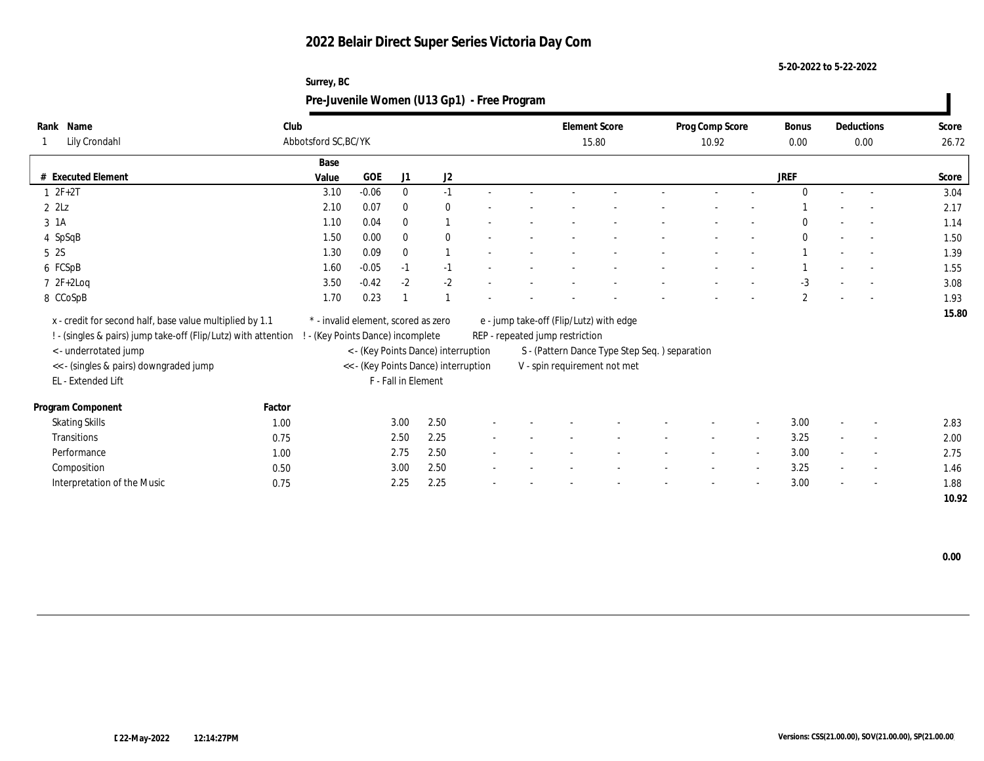**5-20-2022 to 5-22-2022**

|                              | Surrey, BC<br>Pre-Juvenile Women (U13 Gp1) - Free Program |         |              |              |                          |  |  |                               |  |                          |        |               |                          |            |                |
|------------------------------|-----------------------------------------------------------|---------|--------------|--------------|--------------------------|--|--|-------------------------------|--|--------------------------|--------|---------------|--------------------------|------------|----------------|
| Rank Name<br>1 Lily Crondahl | Club<br>Abbotsford SC, BC/YK                              |         |              |              |                          |  |  | <b>Element Score</b><br>15.80 |  | Prog Comp Score<br>10.92 |        | Bonus<br>0.00 | Deductions               | 0.00       | Score<br>26.72 |
|                              | Base                                                      |         |              |              |                          |  |  |                               |  |                          |        |               |                          |            |                |
| # Executed Element           | Value                                                     | GOE     | J1           | J2           |                          |  |  |                               |  |                          |        | <b>JREF</b>   |                          |            | Score          |
| $1 \t2F+2T$                  | 3.10                                                      | $-0.06$ | $\bf{0}$     | $-1$         |                          |  |  |                               |  |                          |        | $\mathbf{0}$  | $\sim$                   |            | 3.04           |
| $2 \; 2Lz$                   | 2.10                                                      | 0.07    | $\mathbf{0}$ | $\mathbf{0}$ |                          |  |  |                               |  |                          |        |               | $\overline{\phantom{a}}$ |            | 2.17           |
| 3 1A                         | 1.10                                                      | 0.04    | $\mathbf{0}$ |              |                          |  |  |                               |  | $\overline{\phantom{a}}$ |        | $\mathbf{0}$  | $\overline{\phantom{a}}$ |            | 1.14           |
| 4 SpSqB                      | 1.50                                                      | 0.00    | $\bf{0}$     | $\mathbf{0}$ | $\overline{\phantom{a}}$ |  |  |                               |  |                          |        | $\mathbf{0}$  | $\overline{\phantom{a}}$ | $\sim 100$ | 1.50           |
| 5 2S                         | 1.30                                                      | 0.09    | $\theta$     |              |                          |  |  |                               |  |                          |        |               | $\overline{\phantom{a}}$ |            | 1.39           |
| 6 FCSpB                      | 1.60                                                      | $-0.05$ | $-1$         | $-1$         |                          |  |  |                               |  | $\overline{\phantom{a}}$ |        |               | $\overline{\phantom{a}}$ |            | 1.55           |
| $7 \t2F+2Log$                | 3.50                                                      | $-0.42$ | $-2$         | $-2$         |                          |  |  |                               |  |                          |        | $-3$          |                          |            | 3.08           |
| 8 CCoSpB                     | 1.70                                                      | 0.23    |              |              |                          |  |  |                               |  | $\overline{\phantom{a}}$ | $\sim$ | $\mathbf{2}$  | $\sim$                   | $\sim 100$ | 1.93           |
|                              |                                                           |         |              |              |                          |  |  |                               |  |                          |        |               |                          |            |                |

 **15.80** x - credit for second half, base value multiplied by 1.1 \* - invalid element, scored as zero e - jump take-off (Flip/Lutz) with edge ! - (singles & pairs) jump take-off (Flip/Lutz) with attention ! - (Key Points Dance) incomplete REP - repeated jump restriction < - underrotated jump < - (Key Points Dance) interruption S - (Pattern Dance Type Step Seq. ) separation << - (singles & pairs) downgraded jump << - (Key Points Dance) interruption V - spin requirement not met EL - Extended Lift F - Fall in Element **Program Component Factor** Skating Skills 1.00 3.00 2.50 - - - - - - - 3.00 - - 2.83 Transitions 2.5  $0.75$  2.50 2.25 - - - - - - - - - - - - 3.25 - - - 2.00 Performance 1.00 1.00 2.75 2.50 - - - - - - - - - - 3.00 - - - 2.75  $\emph{Composition} \qquad \qquad 0.50 \qquad \qquad 3.00 \quad \, 2.50 \qquad \qquad - \qquad - \qquad - \qquad - \qquad - \qquad - \qquad - \qquad - \qquad 3.25 \qquad - \qquad - \qquad 1.46$ Interpretation of the Music and the Music and the Music control of the Music control of the Music control of the Music control of the Music control of the Music control of the Music control of the Music control of the Musi

 **0.00**

 **10.92**

**Rank**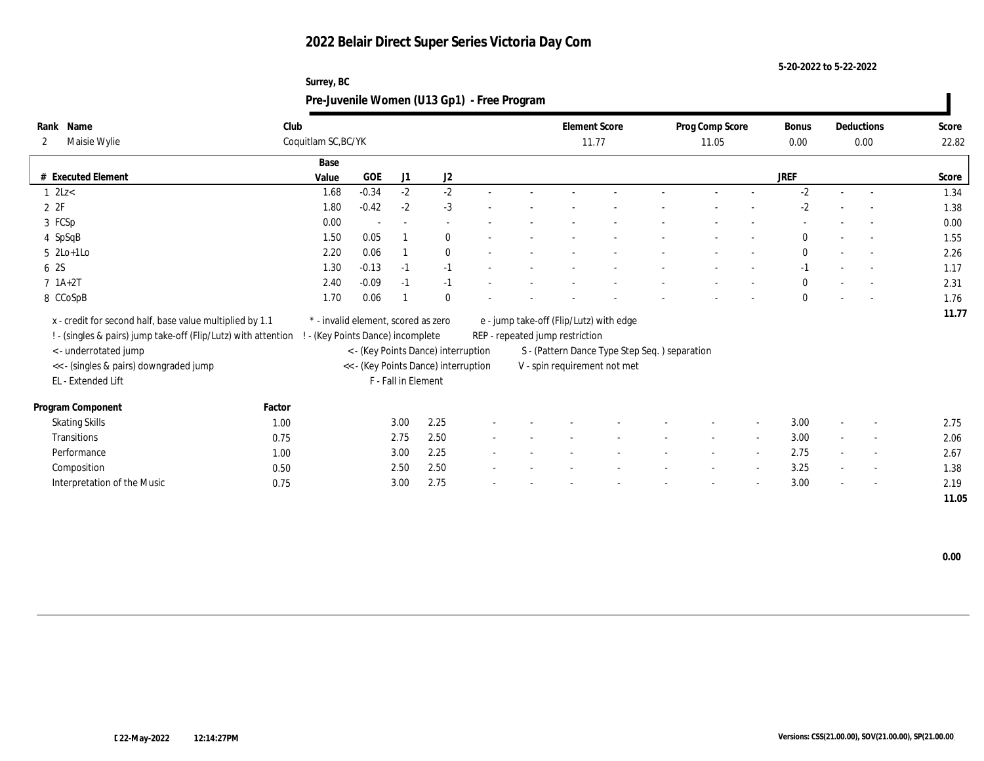**5-20-2022 to 5-22-2022**

|                                                                                                                                                                                                                    |        | Surrey, BC<br>Pre-Juvenile Women (U13 Gp1) - Free Program                |                          |                     |                                                                             |  |                                                                                                            |                                               |                          |        |             |                    |                |
|--------------------------------------------------------------------------------------------------------------------------------------------------------------------------------------------------------------------|--------|--------------------------------------------------------------------------|--------------------------|---------------------|-----------------------------------------------------------------------------|--|------------------------------------------------------------------------------------------------------------|-----------------------------------------------|--------------------------|--------|-------------|--------------------|----------------|
| Rank Name<br>Maisie Wylie<br>2                                                                                                                                                                                     | Club   | Coquitlam SC, BC/YK                                                      |                          |                     |                                                                             |  | <b>Element Score</b><br>11.77                                                                              |                                               | Prog Comp Score<br>11.05 |        |             | Deductions<br>0.00 | Score<br>22.82 |
| # Executed Element                                                                                                                                                                                                 |        | Base<br>Value                                                            | <b>GOE</b>               | J1                  | J <sub>2</sub>                                                              |  |                                                                                                            |                                               |                          |        | <b>JREF</b> |                    | Score          |
| $1 \text{ } 2 \text{L}$                                                                                                                                                                                            |        | 1.68                                                                     | $-0.34$                  | $-2$                | $-2$                                                                        |  |                                                                                                            |                                               |                          |        | $-2$        |                    | 1.34           |
| 2Z                                                                                                                                                                                                                 |        | 1.80                                                                     | $-0.42$                  | $-2$                | $-3$                                                                        |  |                                                                                                            |                                               |                          |        | $-2$        |                    | 1.38           |
| 3 FCSp                                                                                                                                                                                                             |        | 0.00                                                                     | $\overline{\phantom{a}}$ |                     |                                                                             |  |                                                                                                            |                                               |                          |        |             |                    | 0.00           |
| 4 SpSqB                                                                                                                                                                                                            |        | 1.50                                                                     | 0.05                     |                     | $\mathbf{0}$                                                                |  |                                                                                                            |                                               |                          |        | $\theta$    |                    | 1.55           |
| $5$ 2Lo+1Lo                                                                                                                                                                                                        |        | 2.20                                                                     | 0.06                     |                     | $\mathbf{0}$                                                                |  |                                                                                                            |                                               |                          |        | $\bf{0}$    | $\sim$             | 2.26           |
| 6 2S                                                                                                                                                                                                               |        | 1.30                                                                     | $-0.13$                  | $-1$                | $-1$                                                                        |  |                                                                                                            |                                               |                          |        |             | $\sim$             | 1.17           |
| $7 \; 1A+2T$                                                                                                                                                                                                       |        | 2.40                                                                     | $-0.09$                  | $-1$                | $-1$                                                                        |  |                                                                                                            |                                               |                          |        | $\Omega$    |                    | 2.31           |
| 8 CCoSpB                                                                                                                                                                                                           |        | 1.70                                                                     | 0.06                     |                     | $\Omega$                                                                    |  |                                                                                                            |                                               |                          |        | $\theta$    | $\sim$             | 1.76           |
| x - credit for second half, base value multiplied by 1.1<br>! - (singles & pairs) jump take-off (Flip/Lutz) with attention<br><- underrotated jump<br><< - (singles & pairs) downgraded jump<br>EL - Extended Lift |        | * - invalid element, scored as zero<br>! - (Key Points Dance) incomplete |                          | F - Fall in Element | < - (Key Points Dance) interruption<br><< - (Key Points Dance) interruption |  | e - jump take-off (Flip/Lutz) with edge<br>REP - repeated jump restriction<br>V - spin requirement not met | S - (Pattern Dance Type Step Seq.) separation |                          |        |             |                    | 11.77          |
| Program Component                                                                                                                                                                                                  | Factor |                                                                          |                          |                     |                                                                             |  |                                                                                                            |                                               |                          |        |             |                    |                |
| <b>Skating Skills</b>                                                                                                                                                                                              | 1.00   |                                                                          |                          | 3.00                | 2.25                                                                        |  |                                                                                                            |                                               |                          |        | 3.00        |                    | 2.75           |
| Transitions                                                                                                                                                                                                        | 0.75   |                                                                          |                          | 2.75                | 2.50                                                                        |  |                                                                                                            |                                               |                          | $\sim$ | 3.00        |                    | 2.06           |
| Performance                                                                                                                                                                                                        | 1.00   |                                                                          |                          | 3.00                | 2.25                                                                        |  |                                                                                                            |                                               |                          | $\sim$ | 2.75        |                    | 2.67           |
| Composition                                                                                                                                                                                                        | 0.50   |                                                                          |                          | 2.50                | 2.50                                                                        |  |                                                                                                            |                                               |                          |        | 3.25        |                    | 1.38           |
| Interpretation of the Music                                                                                                                                                                                        | 0.75   |                                                                          |                          | 3.00                | 2.75                                                                        |  |                                                                                                            |                                               |                          |        | 3.00        |                    | 2.19           |

 **11.05**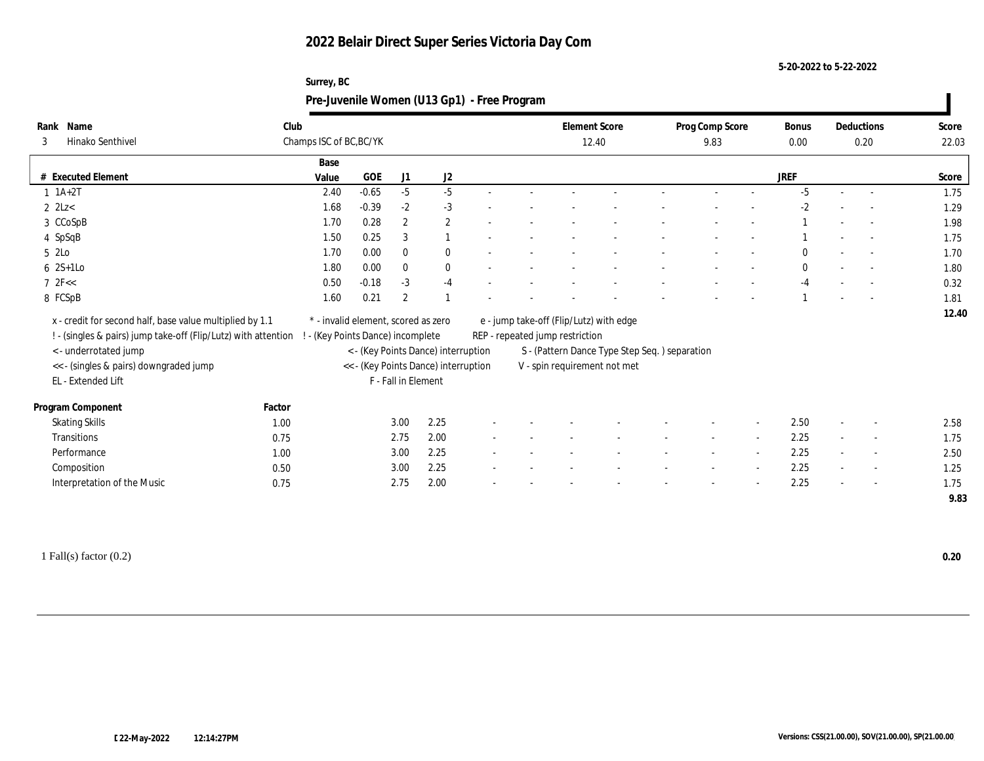**5-20-2022 to 5-22-2022**

| Surrey, BC                                  |  |
|---------------------------------------------|--|
| Pre-Juvenile Women (U13 Gp1) - Free Program |  |

| Rank Name                                                      | Club                    |                                     |                     |                                      |  |                                         | <b>Element Score</b>                           | Prog Comp Score |                | <b>Bonus</b> |                          | Deductions               | Score |
|----------------------------------------------------------------|-------------------------|-------------------------------------|---------------------|--------------------------------------|--|-----------------------------------------|------------------------------------------------|-----------------|----------------|--------------|--------------------------|--------------------------|-------|
| Hinako Senthivel<br>3                                          | Champs ISC of BC, BC/YK |                                     |                     |                                      |  |                                         | 12.40                                          | 9.83            |                | 0.00         |                          | 0.20                     | 22.03 |
|                                                                | Base                    |                                     |                     |                                      |  |                                         |                                                |                 |                |              |                          |                          |       |
| # Executed Element                                             | Value                   | <b>GOE</b>                          | J1                  | J <sub>2</sub>                       |  |                                         |                                                |                 |                | <b>JREF</b>  |                          |                          | Score |
| $1 \ 1A+2T$                                                    | 2.40                    | $-0.65$                             | $-5$                | $-5$                                 |  |                                         |                                                |                 |                | $-5$         | $\sim$                   | $\sim$                   | 1.75  |
| $2$ 2Lz $<$                                                    | 1.68                    | $-0.39$                             | $-2$                | $-3$                                 |  |                                         |                                                |                 |                | $-2$         |                          |                          | 1.29  |
| 3 CCoSpB                                                       | 1.70                    | 0.28                                | $\overline{2}$      | $\mathbf{2}$                         |  |                                         |                                                |                 |                |              |                          | $\sim$                   | 1.98  |
| 4 SpSqB                                                        | 1.50                    | 0.25                                | 3                   |                                      |  |                                         |                                                |                 |                |              |                          | $\sim$                   | 1.75  |
| 5 2Lo                                                          | 1.70                    | 0.00                                | $\mathbf{0}$        | $\mathbf{0}$                         |  |                                         |                                                |                 |                | $\Omega$     |                          |                          | 1.70  |
| $6 \t2S+1Lo$                                                   | 1.80                    | 0.00                                | $\mathbf{0}$        | $\bf{0}$                             |  |                                         |                                                |                 |                | $\bf{0}$     |                          |                          | 1.80  |
| $7$ $2$ F<<                                                    | 0.50                    | $-0.18$                             | $-3$                | $-4$                                 |  |                                         |                                                |                 |                | $-4$         |                          |                          | 0.32  |
| 8 FCSpB                                                        | 1.60                    | 0.21                                | $\overline{2}$      |                                      |  |                                         |                                                |                 |                |              |                          |                          | 1.81  |
| x - credit for second half, base value multiplied by 1.1       |                         | * - invalid element, scored as zero |                     |                                      |  | e - jump take-off (Flip/Lutz) with edge |                                                |                 |                |              |                          |                          | 12.40 |
| ! - (singles & pairs) jump take-off (Flip/Lutz) with attention |                         | - (Key Points Dance) incomplete     |                     |                                      |  | REP - repeated jump restriction         |                                                |                 |                |              |                          |                          |       |
| <- underrotated jump                                           |                         |                                     |                     | < - (Key Points Dance) interruption  |  |                                         | S - (Pattern Dance Type Step Seq. ) separation |                 |                |              |                          |                          |       |
| << - (singles & pairs) downgraded jump                         |                         |                                     |                     | << - (Key Points Dance) interruption |  | V - spin requirement not met            |                                                |                 |                |              |                          |                          |       |
| EL - Extended Lift                                             |                         |                                     | F - Fall in Element |                                      |  |                                         |                                                |                 |                |              |                          |                          |       |
| Program Component                                              | Factor                  |                                     |                     |                                      |  |                                         |                                                |                 |                |              |                          |                          |       |
| <b>Skating Skills</b>                                          | 1.00                    |                                     | 3.00                | 2.25                                 |  |                                         |                                                |                 |                | 2.50         | $\overline{a}$           | $\overline{\phantom{a}}$ | 2.58  |
| <b>Transitions</b>                                             | 0.75                    |                                     | 2.75                | 2.00                                 |  |                                         |                                                | $\sim$          | $\sim$         | 2.25         | $\sim$                   | $\sim$                   | 1.75  |
| Performance                                                    | 1.00                    |                                     | 3.00                | 2.25                                 |  |                                         |                                                |                 | $\overline{a}$ | 2.25         | $\overline{\phantom{a}}$ | $\overline{\phantom{a}}$ | 2.50  |
| Composition                                                    | 0.50                    |                                     | 3.00                | 2.25                                 |  |                                         |                                                |                 |                | 2.25         | $\overline{\phantom{a}}$ | $\overline{\phantom{a}}$ | 1.25  |
| Interpretation of the Music                                    | 0.75                    |                                     | 2.75                | 2.00                                 |  |                                         |                                                |                 |                | 2.25         |                          | $\sim$                   | 1.75  |
|                                                                |                         |                                     |                     |                                      |  |                                         |                                                |                 |                |              |                          |                          | 9.83  |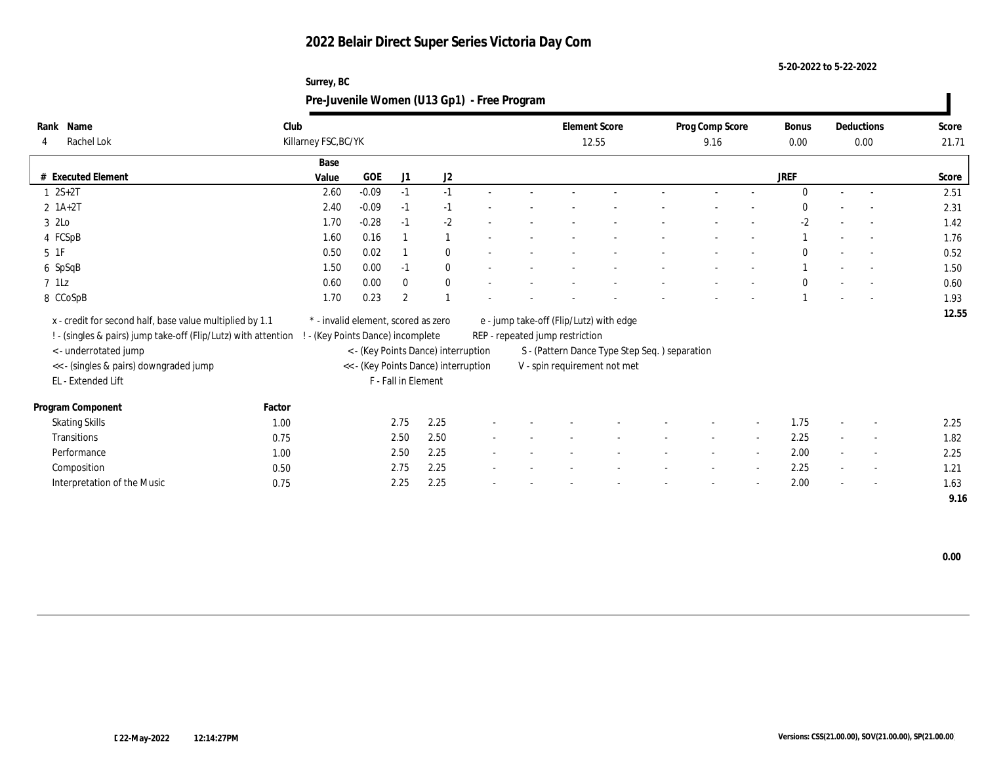**5-20-2022 to 5-22-2022**

|                              | burrey, bu<br>Pre-Juvenile Women (U13 Gp1) - Free Program |         |                |              |                               |                          |  |                          |                          |                          |                          |                |                                        |       |  |
|------------------------------|-----------------------------------------------------------|---------|----------------|--------------|-------------------------------|--------------------------|--|--------------------------|--------------------------|--------------------------|--------------------------|----------------|----------------------------------------|-------|--|
| Rank Name<br>Rachel Lok<br>4 | Club<br>Killarney FSC, BC/YK                              |         |                |              | <b>Element Score</b><br>12.55 |                          |  | Prog Comp Score<br>9.16  |                          | Bonus<br>0.00            | Deductions<br>0.00       | Score<br>21.71 |                                        |       |  |
|                              | Base                                                      |         |                |              |                               |                          |  |                          |                          |                          |                          |                |                                        |       |  |
| # Executed Element           | Value                                                     | GOE     | J1             | J2           |                               |                          |  |                          |                          |                          |                          | <b>JREF</b>    |                                        | Score |  |
| $1 \ 2S + 2T$                | 2.60                                                      | $-0.09$ | $-1$           | $\sim$       |                               |                          |  |                          |                          |                          |                          |                |                                        | 2.51  |  |
| $2 \; 1A+2T$                 | 2.40                                                      | $-0.09$ | $-1$           | $-1$         |                               |                          |  |                          |                          |                          |                          |                | $\overline{\phantom{a}}$<br>$\sim$ $-$ | 2.31  |  |
| 3 2Lo                        | 1.70                                                      | $-0.28$ | $-1$           | $-2$         | $\overline{\phantom{a}}$      | $\overline{\phantom{a}}$ |  | $\overline{\phantom{a}}$ | $\sim$                   | $\overline{\phantom{a}}$ | $\overline{\phantom{a}}$ | $-2$           | $\sim$                                 | 1.42  |  |
| 4 FCSpB                      | 1.60                                                      | 0.16    |                |              |                               | $\overline{\phantom{a}}$ |  | $\overline{\phantom{a}}$ | $\overline{\phantom{a}}$ | $\overline{\phantom{a}}$ | $\overline{\phantom{a}}$ |                | $\sim$                                 | 1.76  |  |
| 5 1F                         | 0.50                                                      | 0.02    |                | $\mathbf{0}$ | $\overline{\phantom{a}}$      |                          |  |                          |                          |                          | $\overline{\phantom{a}}$ |                | $\sim 100$<br>$\overline{\phantom{a}}$ | 0.52  |  |
| 6 SpSqB                      | 1.50                                                      | 0.00    | $-1$           | $\Omega$     |                               |                          |  |                          |                          | $\overline{\phantom{a}}$ | $\overline{\phantom{a}}$ |                | $\overline{\phantom{a}}$               | 1.50  |  |
| 7 1Lz                        | 0.60                                                      | 0.00    | $\overline{0}$ | $\Omega$     |                               |                          |  |                          |                          | $\overline{\phantom{a}}$ |                          | $\mathbf{0}$   | $\overline{\phantom{a}}$               | 0.60  |  |
| 8 CCoSpB                     | 1.70                                                      | 0.23    | $\mathbf{2}$   |              |                               |                          |  |                          |                          | $\overline{\phantom{a}}$ |                          |                | $\overline{\phantom{a}}$<br>$\sim 100$ | 1.93  |  |
|                              |                                                           |         |                |              |                               |                          |  |                          |                          |                          |                          |                |                                        | 12.55 |  |

# **Surrey, BC**

| x - credit for second half, base value multiplied by 1.1       |        | * - invalid element, scored as zero  |      |        |                                 | e - jump take-off (Flip/Lutz) with edge       |                          |                          |      |                          |                          | 12.55 |
|----------------------------------------------------------------|--------|--------------------------------------|------|--------|---------------------------------|-----------------------------------------------|--------------------------|--------------------------|------|--------------------------|--------------------------|-------|
|                                                                |        |                                      |      |        |                                 |                                               |                          |                          |      |                          |                          |       |
| ! - (singles & pairs) jump take-off (Flip/Lutz) with attention |        | - (Key Points Dance) incomplete      |      |        | REP - repeated jump restriction |                                               |                          |                          |      |                          |                          |       |
| < - underrotated jump                                          |        | < - (Key Points Dance) interruption  |      |        |                                 | S - (Pattern Dance Type Step Seq.) separation |                          |                          |      |                          |                          |       |
| << - (singles & pairs) downgraded jump                         |        | << - (Key Points Dance) interruption |      |        |                                 | V - spin requirement not met                  |                          |                          |      |                          |                          |       |
| EL - Extended Lift                                             |        | F - Fall in Element                  |      |        |                                 |                                               |                          |                          |      |                          |                          |       |
|                                                                |        |                                      |      |        |                                 |                                               |                          |                          |      |                          |                          |       |
| Program Component                                              | Factor |                                      |      |        |                                 |                                               |                          |                          |      |                          |                          |       |
| <b>Skating Skills</b>                                          | 1.00   | 2.75                                 | 2.25 |        |                                 |                                               |                          | $\overline{\phantom{a}}$ | 1.75 | $\overline{\phantom{0}}$ |                          | 2.25  |
| Transitions                                                    | 0.75   | 2.50                                 | 2.50 |        |                                 |                                               |                          | $\overline{\phantom{a}}$ | 2.25 | $\overline{\phantom{a}}$ |                          | 1.82  |
| Performance                                                    | 1.00   | 2.50                                 | 2.25 |        |                                 |                                               |                          | $\overline{\phantom{a}}$ | 2.00 | $\overline{\phantom{a}}$ | $\overline{\phantom{0}}$ | 2.25  |
| Composition                                                    | 0.50   | 2.75                                 | 2.25 |        |                                 |                                               | $\overline{\phantom{0}}$ | $\overline{\phantom{0}}$ | 2.25 | $\sim$                   | $\overline{\phantom{a}}$ | 1.21  |
| Interpretation of the Music                                    | 0.75   | 2.25                                 | 2.25 | $\sim$ |                                 |                                               |                          | $\overline{\phantom{a}}$ | 2.00 | $\overline{a}$           | $\overline{\phantom{0}}$ | 1.63  |

 **9.16**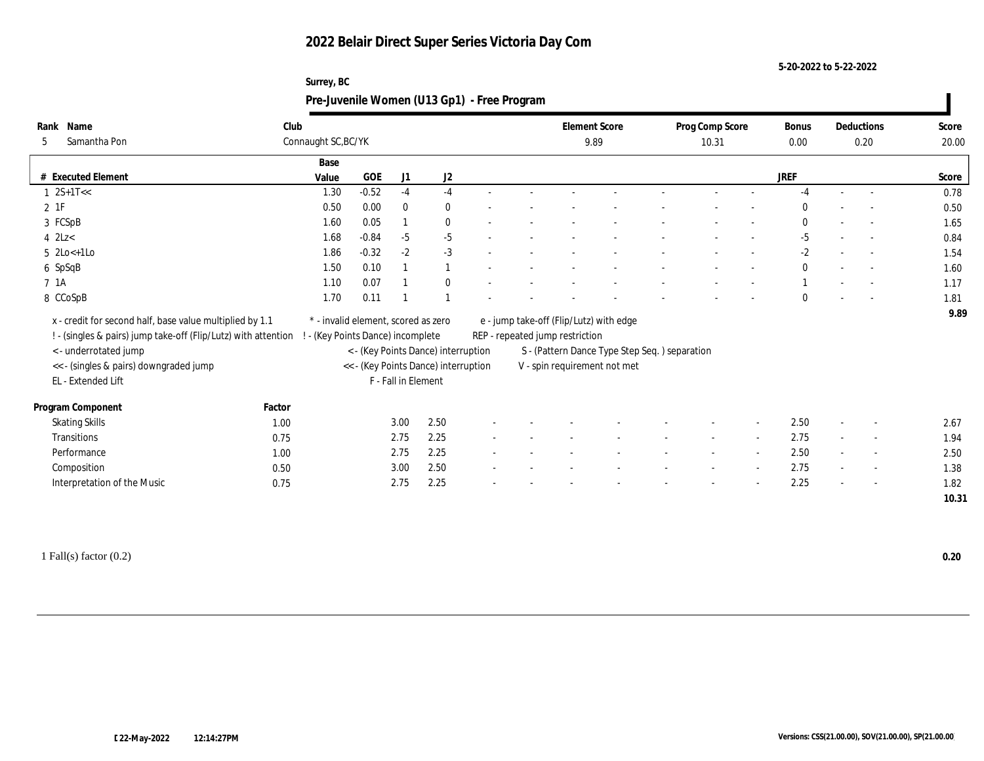**5-20-2022 to 5-22-2022**

| Surrey, BC                                  |  |
|---------------------------------------------|--|
| Pre-Juvenile Women (U13 Gp1) - Free Program |  |

| Rank Name                          |                                                                | Club                |                                     |                |                                      |  |                                 | <b>Element Score</b>                           | Prog Comp Score |                | <b>Bonus</b> |                          | Deductions               | Score |
|------------------------------------|----------------------------------------------------------------|---------------------|-------------------------------------|----------------|--------------------------------------|--|---------------------------------|------------------------------------------------|-----------------|----------------|--------------|--------------------------|--------------------------|-------|
| Samantha Pon<br>5                  |                                                                | Connaught SC, BC/YK |                                     |                |                                      |  |                                 | 9.89                                           | 10.31           |                | 0.00         |                          | 0.20                     | 20.00 |
|                                    |                                                                | Base                |                                     |                |                                      |  |                                 |                                                |                 |                |              |                          |                          |       |
| # Executed Element                 |                                                                | Value               | <b>GOE</b>                          | J <sub>1</sub> | J <sub>2</sub>                       |  |                                 |                                                |                 |                | <b>JREF</b>  |                          |                          | Score |
| $1 \quad 2S+1T<<$                  |                                                                | 1.30                | $-0.52$                             | $-4$           | $-4$                                 |  |                                 |                                                |                 |                | $-4$         | $\sim$                   | $\sim$                   | 0.78  |
| $2$ 1F                             |                                                                | 0.50                | 0.00                                | $\mathbf{0}$   | $\bf{0}$                             |  |                                 |                                                |                 |                | $\Omega$     |                          |                          | 0.50  |
| 3 FCSpB                            |                                                                | 1.60                | 0.05                                |                | $\bf{0}$                             |  |                                 |                                                |                 |                | $\mathbf{0}$ |                          | $\overline{\phantom{a}}$ | 1.65  |
| 4 $2Lz<$                           |                                                                | 1.68                | $-0.84$                             | $-5$           | $-5$                                 |  |                                 |                                                |                 |                | $-5$         |                          | $\sim$                   | 0.84  |
| $5 \ \text{2Lo} \leq +1 \text{Lo}$ |                                                                | 1.86                | $-0.32$                             | $-2$           | $-3$                                 |  |                                 |                                                |                 |                | $-2$         |                          | $\sim$                   | 1.54  |
| 6 SpSqB                            |                                                                | 1.50                | 0.10                                |                | $\mathbf{1}$                         |  |                                 |                                                |                 |                | $\mathbf{0}$ |                          |                          | 1.60  |
| 7 1A                               |                                                                | 1.10                | 0.07                                |                | $\mathbf{0}$                         |  |                                 |                                                |                 |                |              |                          |                          | 1.17  |
| 8 CCoSpB                           |                                                                | 1.70                | 0.11                                |                |                                      |  |                                 |                                                |                 |                | $\mathbf{0}$ |                          |                          | 1.81  |
|                                    | x - credit for second half, base value multiplied by 1.1       |                     | * - invalid element, scored as zero |                |                                      |  |                                 | e - jump take-off (Flip/Lutz) with edge        |                 |                |              |                          |                          | 9.89  |
|                                    | ! - (singles & pairs) jump take-off (Flip/Lutz) with attention |                     | - (Key Points Dance) incomplete     |                |                                      |  | REP - repeated jump restriction |                                                |                 |                |              |                          |                          |       |
| <- underrotated jump               |                                                                |                     |                                     |                | < - (Key Points Dance) interruption  |  |                                 | S - (Pattern Dance Type Step Seq. ) separation |                 |                |              |                          |                          |       |
|                                    | << - (singles & pairs) downgraded jump                         |                     |                                     |                | << - (Key Points Dance) interruption |  |                                 | V - spin requirement not met                   |                 |                |              |                          |                          |       |
| EL - Extended Lift                 |                                                                |                     |                                     |                | F - Fall in Element                  |  |                                 |                                                |                 |                |              |                          |                          |       |
| Program Component                  | Factor                                                         |                     |                                     |                |                                      |  |                                 |                                                |                 |                |              |                          |                          |       |
| <b>Skating Skills</b>              | 1.00                                                           |                     |                                     | 3.00           | 2.50                                 |  |                                 |                                                |                 |                | 2.50         | $\overline{a}$           | $\overline{\phantom{a}}$ | 2.67  |
| <b>Transitions</b>                 | 0.75                                                           |                     |                                     | 2.75           | 2.25                                 |  |                                 |                                                | $\sim$          | $\sim$         | 2.75         | $\sim$                   | $\sim$                   | 1.94  |
| Performance                        | 1.00                                                           |                     |                                     | 2.75           | 2.25                                 |  |                                 |                                                |                 | $\overline{a}$ | 2.50         | $\overline{\phantom{a}}$ | $\overline{\phantom{a}}$ | 2.50  |
| Composition                        | 0.50                                                           |                     |                                     | 3.00           | 2.50                                 |  |                                 |                                                |                 |                | 2.75         | $\sim$                   | $\overline{\phantom{a}}$ | 1.38  |
|                                    | Interpretation of the Music<br>0.75                            |                     |                                     | 2.75           | 2.25                                 |  |                                 |                                                |                 |                | 2.25         |                          | $\overline{\phantom{a}}$ | 1.82  |
|                                    |                                                                |                     |                                     |                |                                      |  |                                 |                                                |                 |                |              |                          |                          | 10.31 |
|                                    |                                                                |                     |                                     |                |                                      |  |                                 |                                                |                 |                |              |                          |                          |       |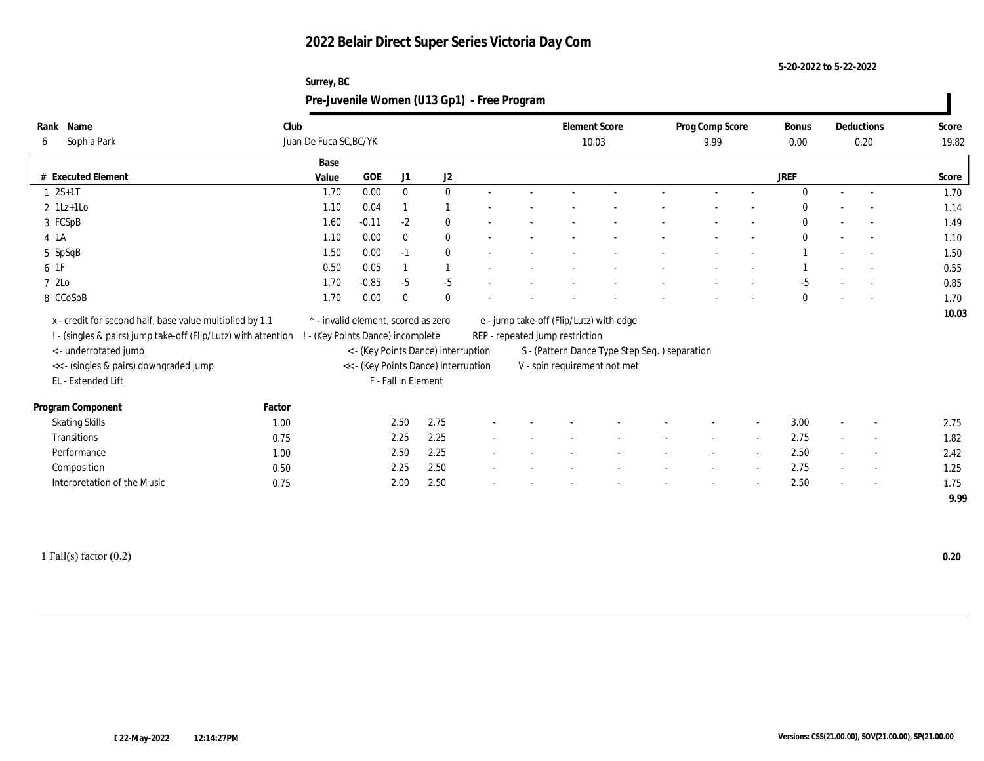**5-20-2022 to 5-22-2022**

|      | Surrey, BC |                                             |                 |       |            |       |  |  |  |  |  |  |  |  |
|------|------------|---------------------------------------------|-----------------|-------|------------|-------|--|--|--|--|--|--|--|--|
|      |            | Pre-Juvenile Women (U13 Gp1) - Free Program |                 |       |            |       |  |  |  |  |  |  |  |  |
|      |            |                                             |                 |       |            |       |  |  |  |  |  |  |  |  |
| Name | Club       | <b>Element Score</b>                        | Prog Comp Score | Bonus | Deductions | Score |  |  |  |  |  |  |  |  |

| Sophia Park<br>6                                               | Juan De Fuca SC, BC/YK              |         |                     |                                      |        |                                 | 10.03                                         | 9.99 |                          | 0.00         |        | 0.20                     | 19.82        |
|----------------------------------------------------------------|-------------------------------------|---------|---------------------|--------------------------------------|--------|---------------------------------|-----------------------------------------------|------|--------------------------|--------------|--------|--------------------------|--------------|
|                                                                | Base                                |         |                     |                                      |        |                                 |                                               |      |                          |              |        |                          |              |
| # Executed Element                                             | Value                               | GOE     | J1                  | J2                                   |        |                                 |                                               |      |                          | <b>JREF</b>  |        |                          | Score        |
| $1 \t 2S+1T$                                                   | 1.70                                | 0.00    | $\mathbf{0}$        | $\bf{0}$                             |        |                                 |                                               |      |                          | $\Omega$     |        | $\sim$                   | 1.70         |
| $2 \text{ } 1\text{Lz+1LO}$                                    | 1.10                                | 0.04    |                     |                                      |        |                                 |                                               |      |                          |              |        | $\overline{\phantom{a}}$ | 1.14         |
| 3 FCSpB                                                        | 1.60                                | $-0.11$ | $-2$                | $\bf{0}$                             | $\sim$ |                                 |                                               |      |                          | $\mathbf{0}$ |        | $\sim$                   | 1.49         |
| 4 1A                                                           | 1.10                                | 0.00    | $\bf{0}$            | $\bf{0}$                             | $\sim$ |                                 |                                               |      |                          | $\Omega$     | $\sim$ | $\sim$                   | 1.10         |
| 5 SpSqB                                                        | 1.50                                | 0.00    | $-1$                | $\bf{0}$                             |        |                                 |                                               |      |                          |              |        | $\sim$                   | 1.50         |
| 6 1F                                                           | 0.50                                | 0.05    |                     |                                      |        |                                 |                                               |      |                          |              |        | $\overline{\phantom{a}}$ | 0.55         |
| 7 2Lo                                                          | 1.70                                | $-0.85$ | $-5$                | $-5$                                 |        |                                 |                                               |      |                          | -5           |        | $\overline{\phantom{a}}$ | 0.85         |
| 8 CCoSpB                                                       | 1.70                                | 0.00    | $\mathbf{0}$        | $\bf{0}$                             |        |                                 |                                               |      |                          | $\theta$     |        | $\overline{\phantom{a}}$ | 1.70         |
| x - credit for second half, base value multiplied by 1.1       | * - invalid element, scored as zero |         |                     |                                      |        |                                 | e - jump take-off (Flip/Lutz) with edge       |      |                          |              |        |                          | 10.03        |
| ! - (singles & pairs) jump take-off (Flip/Lutz) with attention | - (Key Points Dance) incomplete     |         |                     |                                      |        | REP - repeated jump restriction |                                               |      |                          |              |        |                          |              |
| < - underrotated jump                                          |                                     |         |                     | < - (Key Points Dance) interruption  |        |                                 | S - (Pattern Dance Type Step Seq.) separation |      |                          |              |        |                          |              |
| << - (singles & pairs) downgraded jump                         |                                     |         |                     | << - (Key Points Dance) interruption |        |                                 | V - spin requirement not met                  |      |                          |              |        |                          |              |
| EL - Extended Lift                                             |                                     |         | F - Fall in Element |                                      |        |                                 |                                               |      |                          |              |        |                          |              |
| Program Component                                              | Factor                              |         |                     |                                      |        |                                 |                                               |      |                          |              |        |                          |              |
| <b>Skating Skills</b>                                          | 1.00                                |         | 2.50                | 2.75                                 |        |                                 |                                               |      | $\overline{\phantom{a}}$ | 3.00         | $\sim$ | $\overline{\phantom{a}}$ | 2.75         |
| Transitions                                                    | 0.75                                |         | 2.25                | 2.25                                 |        |                                 |                                               |      |                          | 2.75         |        | $\overline{\phantom{a}}$ | 1.82         |
| Performance                                                    |                                     |         | 2.50                | 2.25                                 |        |                                 |                                               |      | $\overline{\phantom{a}}$ | 2.50         |        | $\overline{\phantom{a}}$ |              |
| Composition                                                    | 1.00                                |         | 2.25                | 2.50                                 |        |                                 |                                               |      | $\overline{\phantom{a}}$ | 2.75         |        | $\overline{\phantom{a}}$ | 2.42         |
| Interpretation of the Music                                    | 0.50<br>0.75                        |         | 2.00                | 2.50                                 |        |                                 |                                               |      |                          | 2.50         |        |                          | 1.25<br>1.75 |
|                                                                |                                     |         |                     |                                      |        |                                 |                                               |      |                          |              |        | $\overline{\phantom{a}}$ | 9.99         |
|                                                                |                                     |         |                     |                                      |        |                                 |                                               |      |                          |              |        |                          |              |

1 Fall(s) factor (0.2) **0.20**

**Rank**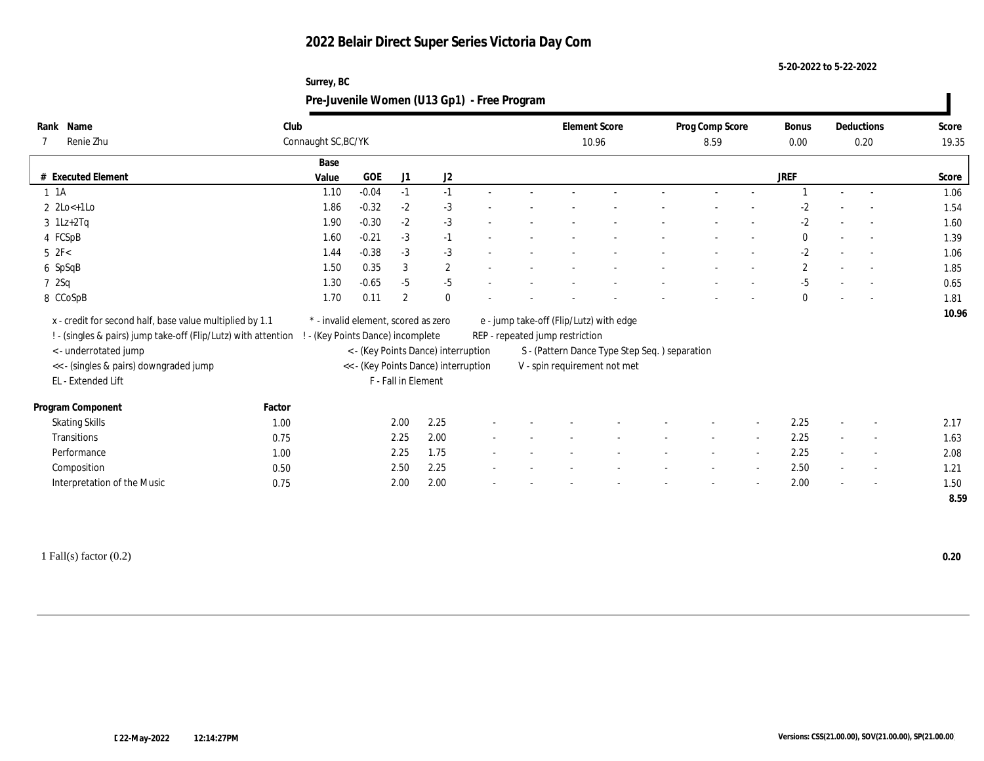**5-20-2022 to 5-22-2022**

| Surrey, BC                                  |
|---------------------------------------------|
| Pre-Juvenile Women (U13 Gp1) - Free Program |

| Rank Name<br>Renie Zhu                                         | Club   | Connaught SC, BC/YK                 |         |                     |                                      |  |                                 | <b>Element Score</b><br>10.96                 | Prog Comp Score<br>8.59 |                          | Bonus<br>$0.00\,$ | Deductions<br>0.20       | Score<br>19.35 |
|----------------------------------------------------------------|--------|-------------------------------------|---------|---------------------|--------------------------------------|--|---------------------------------|-----------------------------------------------|-------------------------|--------------------------|-------------------|--------------------------|----------------|
|                                                                |        |                                     |         |                     |                                      |  |                                 |                                               |                         |                          |                   |                          |                |
| # Executed Element                                             |        | Base<br>Value                       | GOE     | J1                  | J2                                   |  |                                 |                                               |                         |                          | JREF              |                          | Score          |
| $1 \t1A$                                                       |        | 1.10                                | $-0.04$ | $-1$                | $-1$                                 |  |                                 |                                               |                         |                          |                   | $\sim$                   | 1.06           |
| $2 \text{2Lo} + 1 \text{Lo}$                                   |        | 1.86                                | $-0.32$ | $-2$                | $-3$                                 |  |                                 |                                               |                         |                          | $-2$              |                          | 1.54           |
| $3$ 1Lz+2Tq                                                    |        | 1.90                                | $-0.30$ | $-2$                | $-3$                                 |  |                                 |                                               |                         |                          | $\mbox{-} 2$      |                          | 1.60           |
| 4 FCSpB                                                        |        | 1.60                                | $-0.21$ | $-3$                | $-1$                                 |  |                                 |                                               |                         |                          | $\mathbf{0}$      |                          | 1.39           |
| $5$ $2F<$                                                      |        | 1.44                                | $-0.38$ | $-3$                | $-3$                                 |  |                                 |                                               |                         |                          | $-2$              | $\overline{\phantom{a}}$ | 1.06           |
| 6 SpSqB                                                        |        | 1.50                                | 0.35    | 3                   | $\mathbf{2}$                         |  |                                 |                                               |                         |                          | $\boldsymbol{2}$  | $\overline{\phantom{a}}$ | 1.85           |
| 72Sq                                                           |        | 1.30                                | $-0.65$ | $-5$                | $-5$                                 |  |                                 |                                               |                         |                          | $-5$              |                          | 0.65           |
| 8 CCoSpB                                                       |        | 1.70                                | 0.11    | $\overline{2}$      | $\mathbf{0}$                         |  |                                 |                                               |                         |                          | $\mathbf{0}$      | $\overline{\phantom{a}}$ | 1.81           |
| x - credit for second half, base value multiplied by 1.1       |        | * - invalid element, scored as zero |         |                     |                                      |  |                                 | e - jump take-off (Flip/Lutz) with edge       |                         |                          |                   |                          | 10.96          |
| ! - (singles & pairs) jump take-off (Flip/Lutz) with attention |        | - (Key Points Dance) incomplete     |         |                     |                                      |  | REP - repeated jump restriction |                                               |                         |                          |                   |                          |                |
| < - underrotated jump                                          |        |                                     |         |                     | < - (Key Points Dance) interruption  |  |                                 | S - (Pattern Dance Type Step Seq.) separation |                         |                          |                   |                          |                |
| << - (singles & pairs) downgraded jump                         |        |                                     |         |                     | << - (Key Points Dance) interruption |  |                                 | V - spin requirement not met                  |                         |                          |                   |                          |                |
| EL - Extended Lift                                             |        |                                     |         | F - Fall in Element |                                      |  |                                 |                                               |                         |                          |                   |                          |                |
| Program Component                                              | Factor |                                     |         |                     |                                      |  |                                 |                                               |                         |                          |                   |                          |                |
| <b>Skating Skills</b>                                          | 1.00   |                                     |         | 2.00                | 2.25                                 |  |                                 |                                               |                         | $\overline{\phantom{a}}$ | 2.25              | $\overline{\phantom{a}}$ | 2.17           |
| Transitions                                                    | 0.75   |                                     |         | 2.25                | 2.00                                 |  |                                 |                                               | $\sim$                  | $\sim$                   | 2.25              | $\overline{\phantom{a}}$ | 1.63           |
| Performance                                                    | 1.00   |                                     |         | 2.25                | 1.75                                 |  |                                 |                                               |                         | $\overline{\phantom{a}}$ | 2.25              | $\overline{\phantom{a}}$ | 2.08           |
| Composition                                                    | 0.50   |                                     |         | 2.50                | 2.25                                 |  |                                 |                                               |                         | $\overline{\phantom{a}}$ | 2.50              | $\sim$                   | 1.21           |
| Interpretation of the Music                                    | 0.75   |                                     |         | 2.00                | 2.00                                 |  |                                 |                                               |                         | $\overline{\phantom{a}}$ | 2.00              | $\sim$                   | 1.50           |
|                                                                |        |                                     |         |                     |                                      |  |                                 |                                               |                         |                          |                   |                          | 8.59           |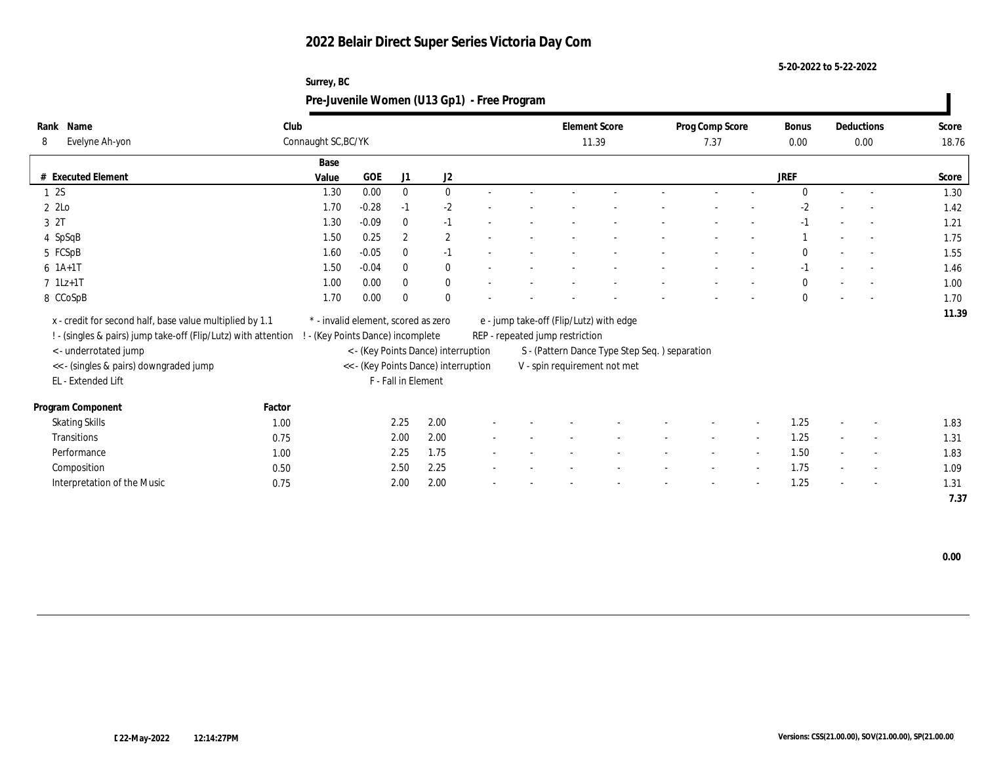**5-20-2022 to 5-22-2022**

|                                                                |        | Surrey, BC<br>Pre-Juvenile Women (U13 Gp1) - Free Program |         |                     |                                      |  |                                         |                                               |                 |                          |              |                          |       |
|----------------------------------------------------------------|--------|-----------------------------------------------------------|---------|---------------------|--------------------------------------|--|-----------------------------------------|-----------------------------------------------|-----------------|--------------------------|--------------|--------------------------|-------|
| Rank Name                                                      | Club   |                                                           |         |                     |                                      |  | <b>Element Score</b>                    |                                               | Prog Comp Score |                          | <b>Bonus</b> | Deductions               | Score |
| Evelyne Ah-yon<br>8                                            |        | Connaught SC, BC/YK                                       |         |                     |                                      |  | 11.39                                   |                                               | 7.37            |                          | 0.00         | 0.00                     | 18.76 |
|                                                                |        | Base                                                      |         |                     |                                      |  |                                         |                                               |                 |                          |              |                          |       |
| # Executed Element                                             |        | Value                                                     | GOE     | J1                  | J2                                   |  |                                         |                                               |                 |                          | <b>JREF</b>  |                          | Score |
| 1 2S                                                           |        | 1.30                                                      | 0.00    | $\mathbf{0}$        | $\mathbf{0}$                         |  |                                         |                                               |                 |                          | $\Omega$     |                          | 1.30  |
| $2\,2$ Lo                                                      |        | 1.70                                                      | $-0.28$ | $-1$                | $-2$                                 |  |                                         |                                               |                 |                          | $-2$         |                          | 1.42  |
| 3 2T                                                           |        | 1.30                                                      | $-0.09$ | $\theta$            | $-1$                                 |  |                                         |                                               |                 |                          |              | $\sim$                   | 1.21  |
| 4 SpSqB                                                        |        | 1.50                                                      | 0.25    | $\overline{2}$      | $\mathbf{2}$                         |  |                                         |                                               |                 |                          |              | $\overline{\phantom{a}}$ | 1.75  |
| 5 FCSpB                                                        |        | 1.60                                                      | $-0.05$ |                     | $-1$                                 |  |                                         |                                               |                 |                          |              | $\overline{\phantom{a}}$ | 1.55  |
| $6 1A+1T$                                                      |        | 1.50                                                      | $-0.04$ | $\Omega$            | $\mathbf{0}$                         |  |                                         |                                               |                 |                          | $-1$         | $\sim$                   | 1.46  |
| $7$ 1Lz+1T                                                     |        | 1.00                                                      | 0.00    | $\Omega$            | $\mathbf{0}$                         |  |                                         |                                               |                 |                          |              |                          | 1.00  |
| 8 CCoSpB                                                       |        | 1.70                                                      | 0.00    | $\Omega$            | $\mathbf{0}$                         |  |                                         |                                               |                 |                          | $\bf{0}$     | $\overline{\phantom{a}}$ | 1.70  |
| x - credit for second half, base value multiplied by 1.1       |        | * - invalid element, scored as zero                       |         |                     |                                      |  | e - jump take-off (Flip/Lutz) with edge |                                               |                 |                          |              |                          | 11.39 |
| ! - (singles & pairs) jump take-off (Flip/Lutz) with attention |        | - (Key Points Dance) incomplete                           |         |                     |                                      |  | REP - repeated jump restriction         |                                               |                 |                          |              |                          |       |
| <- underrotated jump                                           |        |                                                           |         |                     | < - (Key Points Dance) interruption  |  |                                         | S - (Pattern Dance Type Step Seq.) separation |                 |                          |              |                          |       |
| << - (singles & pairs) downgraded jump                         |        |                                                           |         |                     | << - (Key Points Dance) interruption |  | V - spin requirement not met            |                                               |                 |                          |              |                          |       |
| EL - Extended Lift                                             |        |                                                           |         | F - Fall in Element |                                      |  |                                         |                                               |                 |                          |              |                          |       |
|                                                                |        |                                                           |         |                     |                                      |  |                                         |                                               |                 |                          |              |                          |       |
| Program Component                                              | Factor |                                                           |         |                     |                                      |  |                                         |                                               |                 |                          |              |                          |       |
| <b>Skating Skills</b>                                          | 1.00   |                                                           |         | 2.25                | 2.00                                 |  |                                         |                                               |                 |                          | 1.25         |                          | 1.83  |
| Transitions                                                    | 0.75   |                                                           |         | 2.00                | 2.00                                 |  |                                         |                                               |                 | $\overline{\phantom{a}}$ | 1.25         |                          | 1.31  |
| Performance                                                    | 1.00   |                                                           |         | 2.25                | 1.75                                 |  |                                         |                                               |                 | $\overline{\phantom{a}}$ | 1.50         | $\sim$                   | 1.83  |
| Composition                                                    | 0.50   |                                                           |         | 2.50                | 2.25                                 |  |                                         |                                               |                 | $\sim$                   | 1.75         |                          | 1.09  |

Interpretation of the Music 0.75 2.00 2.00 2.00 - - - - - - - - - - - - - - - 1.25 - - - - 1.31

 **7.37**

 **0.00**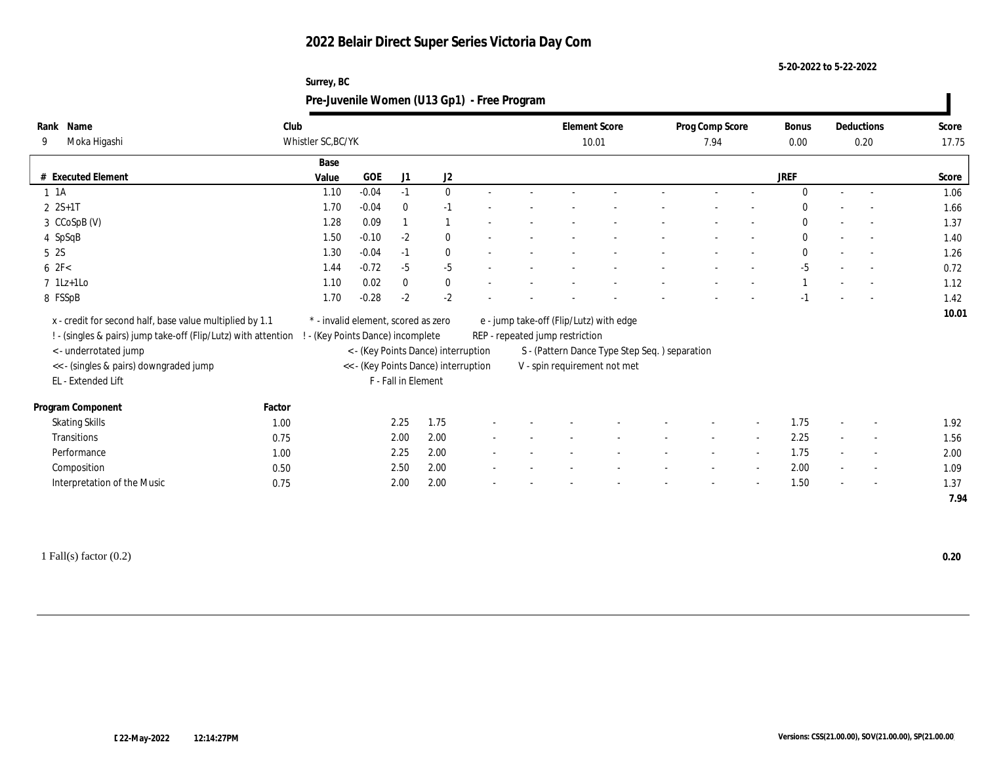**Surrey, BC**

**5-20-2022 to 5-22-2022**

|                                |                                                                                                                            | Pre-Juvenile Women (U13 Gp1) - Free Program                            |         |                     |                                      |  |                                 |                                                                                          |                         |                          |                      |                          |                |
|--------------------------------|----------------------------------------------------------------------------------------------------------------------------|------------------------------------------------------------------------|---------|---------------------|--------------------------------------|--|---------------------------------|------------------------------------------------------------------------------------------|-------------------------|--------------------------|----------------------|--------------------------|----------------|
| Rank Name<br>Moka Higashi<br>9 |                                                                                                                            | Club<br>Whistler SC, BC/YK                                             |         |                     |                                      |  |                                 | <b>Element Score</b><br>10.01                                                            | Prog Comp Score<br>7.94 |                          | <b>Bonus</b><br>0.00 | Deductions<br>0.20       | Score<br>17.75 |
| # Executed Element             |                                                                                                                            | Base<br>Value                                                          | GOE     | J1                  | J2                                   |  |                                 |                                                                                          |                         |                          | <b>JREF</b>          |                          | Score          |
| 1 1 A                          |                                                                                                                            | 1.10                                                                   | $-0.04$ | $-1$                | $\mathbf{0}$                         |  |                                 |                                                                                          |                         |                          | $\Omega$             | $\sim$                   | 1.06           |
| $2 \, 2S+1T$                   |                                                                                                                            | 1.70                                                                   | $-0.04$ | $\theta$            | $-1$                                 |  |                                 |                                                                                          |                         |                          |                      |                          | 1.66           |
| 3 CCoSpB (V)                   |                                                                                                                            | 1.28                                                                   | 0.09    |                     |                                      |  |                                 |                                                                                          |                         |                          | $\Omega$             | $\sim$                   | 1.37           |
| 4 SpSqB                        |                                                                                                                            | 1.50                                                                   | $-0.10$ | $-2$                | $\mathbf{0}$                         |  |                                 |                                                                                          |                         |                          | $\mathbf{0}$         |                          | 1.40           |
| 5 2S                           |                                                                                                                            | 1.30                                                                   | $-0.04$ | $-1$                | $\theta$                             |  |                                 |                                                                                          |                         |                          | $\Omega$             | $\sim$                   | 1.26           |
| 62F<                           |                                                                                                                            | 1.44                                                                   | $-0.72$ | $-5$                | $-5$                                 |  |                                 |                                                                                          |                         |                          | $-5$                 | $\overline{\phantom{a}}$ | 0.72           |
| $7$ 1Lz+1Lo                    |                                                                                                                            | 1.10                                                                   | 0.02    | $\mathbf{0}$        | $\mathbf{0}$                         |  |                                 |                                                                                          |                         |                          |                      | $\sim$                   | 1.12           |
| 8 FSSpB                        |                                                                                                                            | 1.70                                                                   | $-0.28$ | $-2$                | $-2$                                 |  |                                 |                                                                                          |                         |                          |                      |                          | 1.42           |
| <- underrotated jump           | x - credit for second half, base value multiplied by 1.1<br>! - (singles & pairs) jump take-off (Flip/Lutz) with attention | * - invalid element, scored as zero<br>- (Key Points Dance) incomplete |         |                     | < - (Key Points Dance) interruption  |  | REP - repeated jump restriction | e - jump take-off (Flip/Lutz) with edge<br>S - (Pattern Dance Type Step Seq.) separation |                         |                          |                      |                          | 10.01          |
| EL - Extended Lift             | << - (singles & pairs) downgraded jump                                                                                     |                                                                        |         | F - Fall in Element | << - (Key Points Dance) interruption |  |                                 | V - spin requirement not met                                                             |                         |                          |                      |                          |                |
|                                |                                                                                                                            |                                                                        |         |                     |                                      |  |                                 |                                                                                          |                         |                          |                      |                          |                |
| Program Component              | Factor                                                                                                                     |                                                                        |         |                     |                                      |  |                                 |                                                                                          |                         |                          |                      |                          |                |
| <b>Skating Skills</b>          |                                                                                                                            | 1.00                                                                   |         | 2.25                | 1.75                                 |  |                                 |                                                                                          |                         | $\overline{\phantom{a}}$ | 1.75                 |                          | 1.92           |
| Transitions                    |                                                                                                                            | 0.75                                                                   |         | 2.00                | 2.00                                 |  |                                 |                                                                                          |                         | $\sim$                   | 2.25                 | $\sim$                   | 1.56           |
| Performance                    |                                                                                                                            | 1.00                                                                   |         | 2.25                | 2.00                                 |  |                                 |                                                                                          |                         | $\sim$                   | 1.75                 | $\overline{\phantom{a}}$ | 2.00           |
| Composition                    |                                                                                                                            | 0.50                                                                   |         | 2.50                | 2.00                                 |  |                                 |                                                                                          |                         | $\overline{\phantom{a}}$ | 2.00                 | $\sim$                   | 1.09           |
|                                | Interpretation of the Music                                                                                                | 0.75                                                                   |         | 2.00                | 2.00                                 |  |                                 |                                                                                          |                         | $\overline{\phantom{a}}$ | 1.50                 | $\overline{\phantom{a}}$ | 1.37           |
|                                |                                                                                                                            |                                                                        |         |                     |                                      |  |                                 |                                                                                          |                         |                          |                      |                          | 7.94           |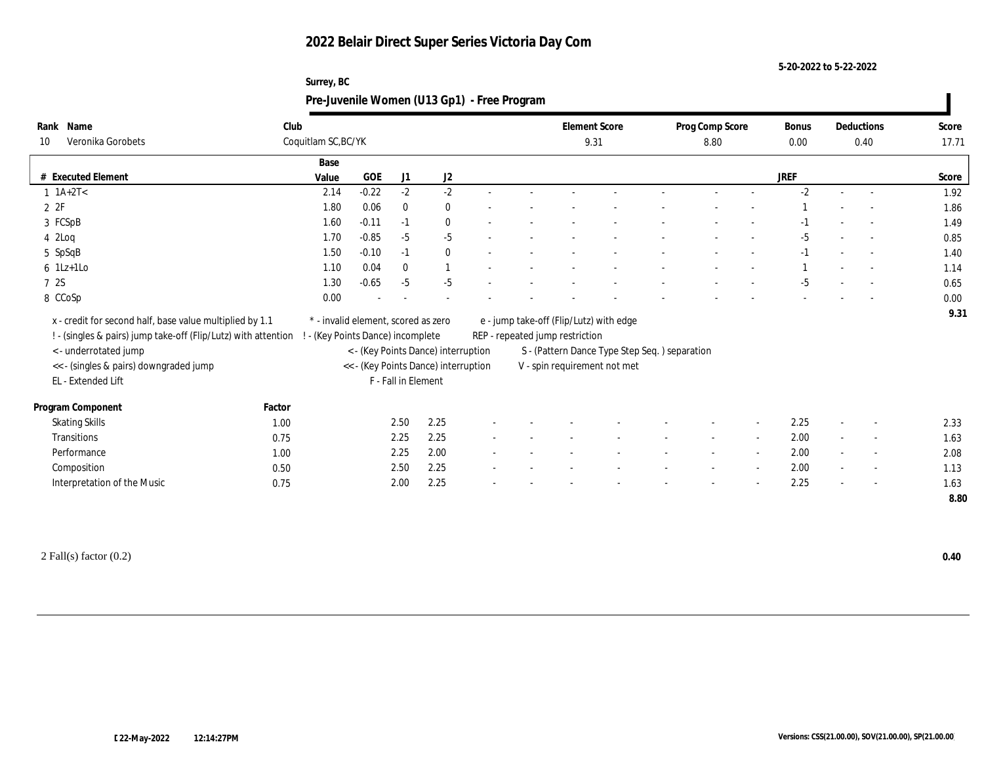**5-20-2022 to 5-22-2022**

| Surrey, BC                                  |  |
|---------------------------------------------|--|
| Pre-Juvenile Women (U13 Gp1) - Free Program |  |

| Name<br>Rank                                                   | Club   |                                     |         |                     |                                      |  |                                 | <b>Element Score</b>                           | Prog Comp Score |                | Bonus |        | Deductions               | Score |
|----------------------------------------------------------------|--------|-------------------------------------|---------|---------------------|--------------------------------------|--|---------------------------------|------------------------------------------------|-----------------|----------------|-------|--------|--------------------------|-------|
| Veronika Gorobets<br>10                                        |        | Coquitlam SC, BC/YK                 |         |                     |                                      |  | 9.31                            |                                                | 8.80            |                | 0.00  |        | 0.40                     | 17.71 |
|                                                                |        | Base                                |         |                     |                                      |  |                                 |                                                |                 |                |       |        |                          |       |
| # Executed Element                                             |        | Value                               | GOE     | J1                  | J2                                   |  |                                 |                                                |                 |                | JREF  |        |                          | Score |
| $1 \text{ } 1A+2T <$                                           |        | 2.14                                | $-0.22$ | $-2$                | $-2$                                 |  |                                 |                                                |                 |                | $-2$  |        |                          | 1.92  |
| 2ZF                                                            |        | 1.80                                | 0.06    | $\bf{0}$            | $\bf{0}$                             |  |                                 |                                                |                 |                |       |        |                          | 1.86  |
| 3 FCSpB                                                        |        | 1.60                                | $-0.11$ | $-1$                | $\mathbf{0}$                         |  |                                 |                                                |                 |                | -1    |        | $\sim$                   | 1.49  |
| $4$ 2Loq                                                       |        | 1.70                                | $-0.85$ | $-5$                | $-5$                                 |  |                                 |                                                |                 |                | $-5$  |        | $\sim$                   | 0.85  |
| 5 SpSqB                                                        |        | 1.50                                | $-0.10$ | $-1$                | $\mathbf{0}$                         |  |                                 |                                                |                 |                | $-1$  |        |                          | 1.40  |
| $6$ 1Lz+1Lo                                                    |        | 1.10                                | 0.04    | $\mathbf{0}$        |                                      |  |                                 |                                                |                 |                |       |        |                          | 1.14  |
| 7 2S                                                           |        | 1.30                                | $-0.65$ | $-5$                | $-5$                                 |  |                                 |                                                |                 |                | $-5$  |        |                          | 0.65  |
| 8 CCoSp                                                        |        | 0.00                                |         |                     |                                      |  |                                 |                                                |                 |                |       |        |                          | 0.00  |
| x - credit for second half, base value multiplied by 1.1       |        | * - invalid element, scored as zero |         |                     |                                      |  |                                 | e - jump take-off (Flip/Lutz) with edge        |                 |                |       |        |                          | 9.31  |
| ! - (singles & pairs) jump take-off (Flip/Lutz) with attention |        | ! - (Key Points Dance) incomplete   |         |                     |                                      |  | REP - repeated jump restriction |                                                |                 |                |       |        |                          |       |
| < - underrotated jump                                          |        |                                     |         |                     | < - (Key Points Dance) interruption  |  |                                 | S - (Pattern Dance Type Step Seq. ) separation |                 |                |       |        |                          |       |
| << - (singles & pairs) downgraded jump                         |        |                                     |         |                     | << - (Key Points Dance) interruption |  |                                 | V - spin requirement not met                   |                 |                |       |        |                          |       |
| EL - Extended Lift                                             |        |                                     |         | F - Fall in Element |                                      |  |                                 |                                                |                 |                |       |        |                          |       |
| Program Component                                              | Factor |                                     |         |                     |                                      |  |                                 |                                                |                 |                |       |        |                          |       |
| <b>Skating Skills</b>                                          | 1.00   |                                     |         | 2.50                | 2.25                                 |  |                                 |                                                |                 |                | 2.25  |        | $\overline{\phantom{a}}$ | 2.33  |
| Transitions                                                    |        |                                     |         | 2.25                | 2.25                                 |  |                                 |                                                |                 |                | 2.00  |        |                          | 1.63  |
| Performance                                                    | 0.75   |                                     |         | 2.25                | 2.00                                 |  |                                 |                                                | $\sim$          | $\sim$         |       | $\sim$ | $\overline{\phantom{a}}$ |       |
|                                                                | 1.00   |                                     |         |                     |                                      |  |                                 |                                                |                 | $\overline{a}$ | 2.00  |        | $\overline{\phantom{a}}$ | 2.08  |
| Composition                                                    | 0.50   |                                     |         | 2.50                | 2.25                                 |  |                                 |                                                |                 | $\sim$         | 2.00  |        | $\overline{\phantom{a}}$ | 1.13  |
| Interpretation of the Music                                    | 0.75   |                                     |         | 2.00                | 2.25                                 |  |                                 |                                                |                 |                | 2.25  |        | $\overline{\phantom{a}}$ | 1.63  |
|                                                                |        |                                     |         |                     |                                      |  |                                 |                                                |                 |                |       |        |                          | 8.80  |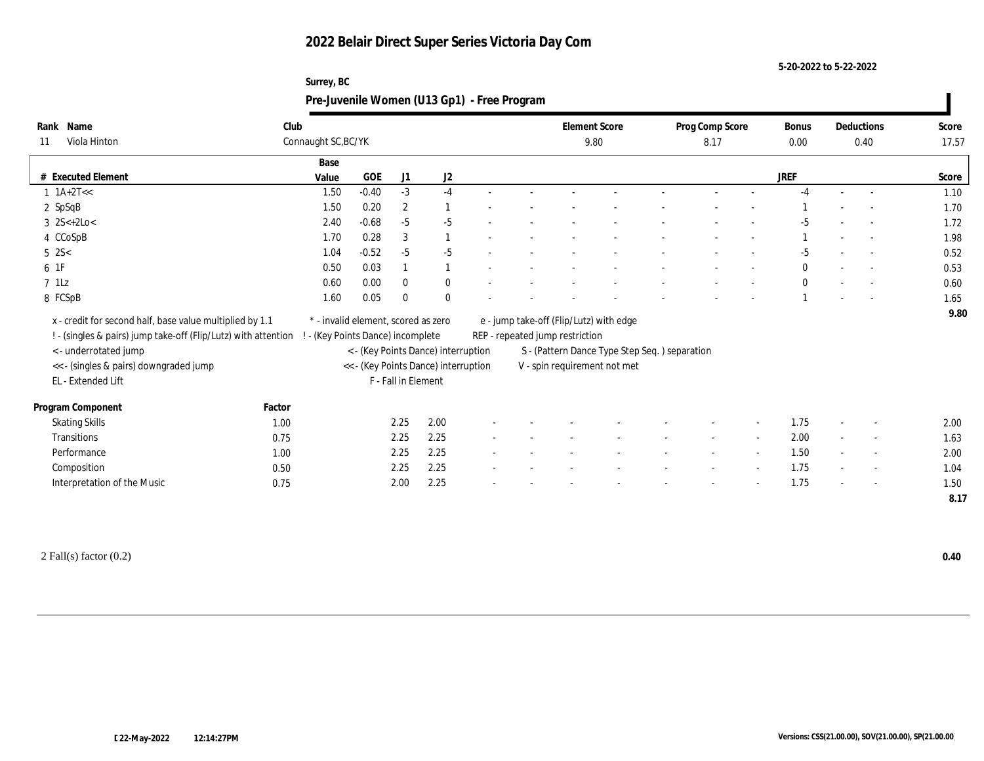**5-20-2022 to 5-22-2022**

| Surrey, BC                                  |  |
|---------------------------------------------|--|
| Pre-Juvenile Women (U13 Gp1) - Free Program |  |

|             | Rank Name                                                      | Club   |                                     |            |                     |                                      |                                 |  | <b>Element Score</b> |                                               | Prog Comp Score |        | Bonus        |        | Deductions               | Score |
|-------------|----------------------------------------------------------------|--------|-------------------------------------|------------|---------------------|--------------------------------------|---------------------------------|--|----------------------|-----------------------------------------------|-----------------|--------|--------------|--------|--------------------------|-------|
| 11          | Viola Hinton                                                   |        | Connaught SC, BC/YK                 |            |                     |                                      |                                 |  | 9.80                 |                                               | 8.17            |        | 0.00         |        | 0.40                     | 17.57 |
|             |                                                                |        | Base                                |            |                     |                                      |                                 |  |                      |                                               |                 |        |              |        |                          |       |
|             | # Executed Element                                             |        | Value                               | <b>GOE</b> | J1                  | $\mathrm{J}2$                        |                                 |  |                      |                                               |                 |        | <b>JREF</b>  |        |                          | Score |
|             | $1 \text{ 1A+2T}<<$                                            |        | 1.50                                | $-0.40$    | $-3$                | $-4$                                 |                                 |  |                      |                                               |                 |        | $-4$         |        |                          | 1.10  |
|             | $2$ SpSqB                                                      |        | 1.50                                | 0.20       | $\boldsymbol{2}$    | -1                                   |                                 |  |                      |                                               |                 |        |              |        |                          | 1.70  |
|             | $3 \; 2S < +2Lo <$                                             |        | 2.40                                | $-0.68$    | $-5$                | $-5$                                 |                                 |  |                      |                                               |                 |        | $-5$         |        |                          | 1.72  |
|             | 4 CCoSpB                                                       |        | 1.70                                | 0.28       | 3                   | $\overline{1}$                       |                                 |  |                      |                                               |                 |        |              |        | $\overline{\phantom{a}}$ | 1.98  |
| $5 \, 2S <$ |                                                                |        | 1.04                                | $-0.52$    | $-5$                | $-5$                                 |                                 |  |                      |                                               |                 |        | $-5$         |        | $\sim$                   | 0.52  |
| 6 1F        |                                                                |        | 0.50                                | 0.03       |                     | 1                                    |                                 |  |                      |                                               |                 |        | $\mathbf{0}$ |        | $\sim$                   | 0.53  |
| $7$ 1Lz     |                                                                |        | 0.60                                | 0.00       | $\mathbf{0}$        | $\bf{0}$                             |                                 |  |                      |                                               |                 |        | $\theta$     |        |                          | 0.60  |
|             | 8 FCSpB                                                        |        | 1.60                                | 0.05       | $\bf{0}$            | $\mathbf{0}$                         |                                 |  |                      |                                               |                 |        |              |        |                          | 1.65  |
|             | x - credit for second half, base value multiplied by 1.1       |        | * - invalid element, scored as zero |            |                     |                                      |                                 |  |                      | e - jump take-off (Flip/Lutz) with edge       |                 |        |              |        |                          | 9.80  |
|             | ! - (singles & pairs) jump take-off (Flip/Lutz) with attention |        | - (Key Points Dance) incomplete     |            |                     |                                      | REP - repeated jump restriction |  |                      |                                               |                 |        |              |        |                          |       |
|             | <- underrotated jump                                           |        |                                     |            |                     | < - (Key Points Dance) interruption  |                                 |  |                      | S - (Pattern Dance Type Step Seq.) separation |                 |        |              |        |                          |       |
|             | << - (singles & pairs) downgraded jump                         |        |                                     |            |                     | << - (Key Points Dance) interruption |                                 |  |                      | V - spin requirement not met                  |                 |        |              |        |                          |       |
|             | EL - Extended Lift                                             |        |                                     |            | F - Fall in Element |                                      |                                 |  |                      |                                               |                 |        |              |        |                          |       |
|             |                                                                |        |                                     |            |                     |                                      |                                 |  |                      |                                               |                 |        |              |        |                          |       |
|             | Program Component                                              | Factor |                                     |            |                     |                                      |                                 |  |                      |                                               |                 |        |              |        |                          |       |
|             | <b>Skating Skills</b>                                          | 1.00   |                                     |            | 2.25                | 2.00                                 |                                 |  |                      |                                               |                 |        | 1.75         |        | $\overline{\phantom{a}}$ | 2.00  |
|             | Transitions                                                    | 0.75   |                                     |            | 2.25                | 2.25                                 |                                 |  |                      |                                               | $\sim$          | $\sim$ | 2.00         | $\sim$ | $\sim$                   | 1.63  |
|             | Performance                                                    | 1.00   |                                     |            | 2.25                | 2.25                                 |                                 |  |                      |                                               |                 |        | 1.50         |        | $\overline{\phantom{a}}$ | 2.00  |
|             | Composition                                                    | 0.50   |                                     |            | 2.25                | 2.25                                 |                                 |  |                      |                                               |                 | $\sim$ | 1.75         |        | $\overline{\phantom{a}}$ | 1.04  |
|             | Interpretation of the Music                                    | 0.75   |                                     |            | 2.00                | 2.25                                 |                                 |  |                      |                                               |                 |        | 1.75         |        | $\sim$                   | 1.50  |
|             |                                                                |        |                                     |            |                     |                                      |                                 |  |                      |                                               |                 |        |              |        |                          | 8.17  |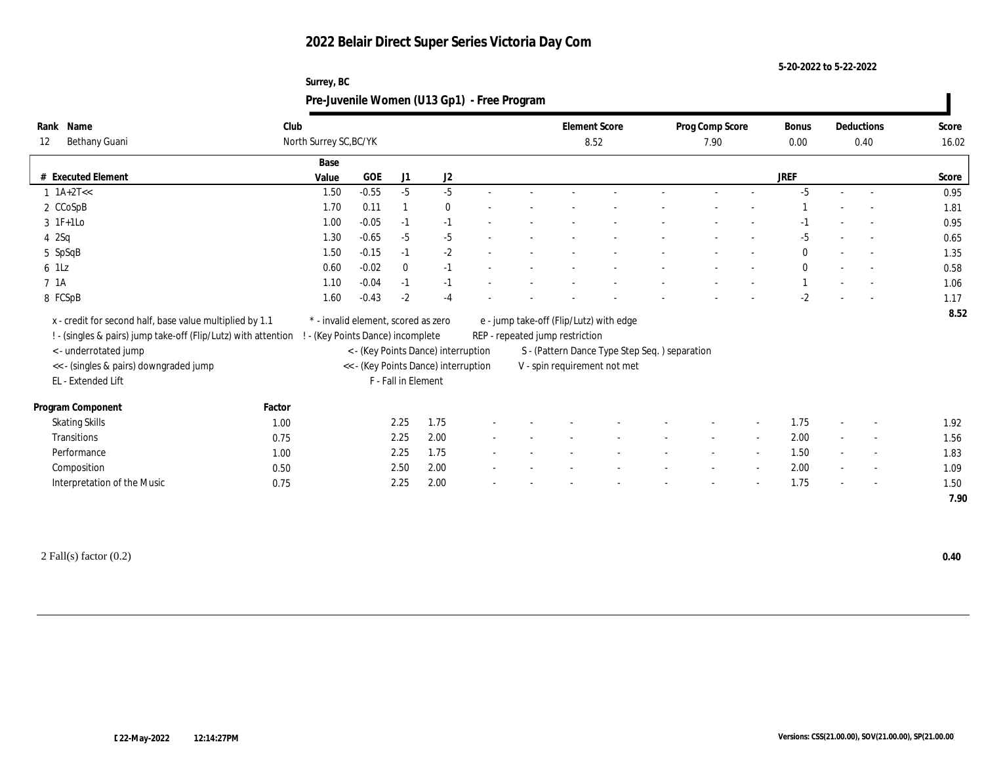**5-20-2022 to 5-22-2022**

| Surrey, BC                                  |  |
|---------------------------------------------|--|
| Pre-Juvenile Women (U13 Gp1) - Free Program |  |

| Rank Name                                                      | Club   |                                     |            |                     |                                      |                          |                                 | <b>Element Score</b>                          | Prog Comp Score |                          | <b>Bonus</b> |        | Deductions               | Score |
|----------------------------------------------------------------|--------|-------------------------------------|------------|---------------------|--------------------------------------|--------------------------|---------------------------------|-----------------------------------------------|-----------------|--------------------------|--------------|--------|--------------------------|-------|
| Bethany Guani<br>12                                            |        | North Surrey SC, BC/YK              |            |                     |                                      |                          |                                 | 8.52                                          | 7.90            |                          | 0.00         |        | 0.40                     | 16.02 |
|                                                                |        | Base                                |            |                     |                                      |                          |                                 |                                               |                 |                          |              |        |                          |       |
| # Executed Element                                             |        | Value                               | <b>GOE</b> | J1                  | J2                                   |                          |                                 |                                               |                 |                          | <b>JREF</b>  |        |                          | Score |
| $1 \text{ 1A+2T} <<$                                           |        | 1.50                                | $-0.55$    | $-5$                | $-5$                                 |                          |                                 |                                               |                 |                          | $-5$         | $\sim$ | $\overline{a}$           | 0.95  |
| 2 CCoSpB                                                       |        | 1.70                                | 0.11       |                     | $\mathbf{0}$                         |                          |                                 |                                               |                 |                          |              |        | $\overline{a}$           | 1.81  |
| $3$ 1 $F+1$ Lo                                                 |        | 1.00                                | $-0.05$    | $-1$                | $-1$                                 |                          |                                 |                                               |                 |                          |              |        |                          | 0.95  |
| 42Sq                                                           |        | 1.30                                | $-0.65$    | $-5$                | $-5$                                 |                          |                                 |                                               |                 |                          | -5           |        | $\sim$                   | 0.65  |
| 5 SpSqB                                                        |        | 1.50                                | $-0.15$    | $-1$                | $-2$                                 |                          |                                 |                                               |                 |                          | $\mathbf{0}$ |        | $\sim$                   | 1.35  |
| 6 1Lz                                                          |        | 0.60                                | $-0.02$    | $\mathbf{0}$        | $-1$                                 |                          |                                 |                                               |                 |                          | $\theta$     |        |                          | 0.58  |
| 7 <sub>1A</sub>                                                |        | 1.10                                | $-0.04$    | $-1$                | $-1$                                 |                          |                                 |                                               |                 |                          |              |        | $\overline{a}$           | 1.06  |
| 8 FCSpB                                                        |        | 1.60                                | $-0.43$    | $-2$                | $-4$                                 |                          |                                 |                                               |                 |                          | $-2$         |        | $\overline{\phantom{a}}$ | 1.17  |
| x - credit for second half, base value multiplied by 1.1       |        | * - invalid element, scored as zero |            |                     |                                      |                          |                                 | e - jump take-off (Flip/Lutz) with edge       |                 |                          |              |        |                          | 8.52  |
| ! - (singles & pairs) jump take-off (Flip/Lutz) with attention |        | - (Key Points Dance) incomplete     |            |                     |                                      |                          | REP - repeated jump restriction |                                               |                 |                          |              |        |                          |       |
| < - underrotated jump                                          |        |                                     |            |                     | < - (Key Points Dance) interruption  |                          |                                 | S - (Pattern Dance Type Step Seq.) separation |                 |                          |              |        |                          |       |
| << - (singles & pairs) downgraded jump                         |        |                                     |            |                     | << - (Key Points Dance) interruption |                          |                                 | V - spin requirement not met                  |                 |                          |              |        |                          |       |
| EL - Extended Lift                                             |        |                                     |            | F - Fall in Element |                                      |                          |                                 |                                               |                 |                          |              |        |                          |       |
|                                                                |        |                                     |            |                     |                                      |                          |                                 |                                               |                 |                          |              |        |                          |       |
| Program Component                                              | Factor |                                     |            |                     |                                      |                          |                                 |                                               |                 |                          |              |        |                          |       |
| <b>Skating Skills</b>                                          | 1.00   |                                     |            | 2.25                | 1.75                                 |                          |                                 |                                               |                 | $\overline{\phantom{a}}$ | 1.75         |        | $\overline{\phantom{a}}$ | 1.92  |
| Transitions                                                    | 0.75   |                                     |            | 2.25                | 2.00                                 | $\overline{\phantom{a}}$ |                                 |                                               | $\sim$          | $\sim$                   | 2.00         | $\sim$ | $\overline{\phantom{a}}$ | 1.56  |
| Performance                                                    | 1.00   |                                     |            | 2.25                | 1.75                                 |                          |                                 |                                               |                 | $\overline{\phantom{a}}$ | 1.50         |        | $\overline{\phantom{a}}$ | 1.83  |
| Composition                                                    | 0.50   |                                     |            | 2.50                | 2.00                                 |                          |                                 |                                               |                 | $\sim$                   | 2.00         |        | $\sim$                   | 1.09  |
| Interpretation of the Music                                    | 0.75   |                                     |            | 2.25                | 2.00                                 |                          |                                 |                                               |                 | $\overline{\phantom{a}}$ | 1.75         |        | $\sim$                   | 1.50  |
|                                                                |        |                                     |            |                     |                                      |                          |                                 |                                               |                 |                          |              |        |                          | 7.90  |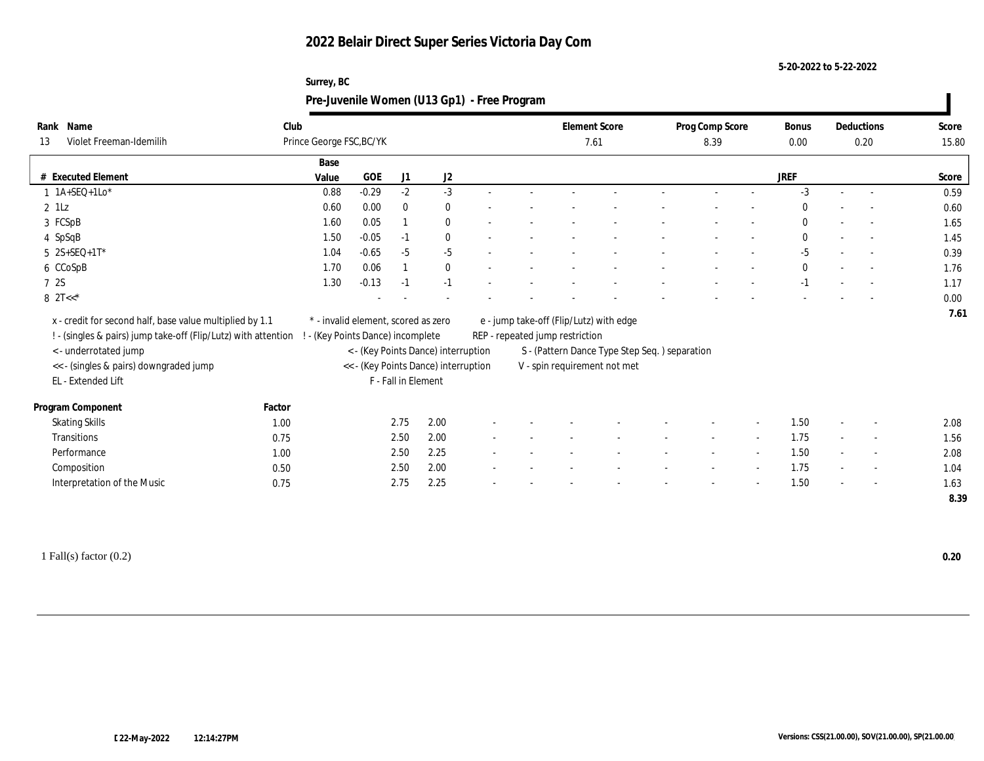**5-20-2022 to 5-22-2022**

| Surrey, BC                                  |  |
|---------------------------------------------|--|
| Pre-Juvenile Women (U13 Gp1) - Free Program |  |

| Rank Name<br>Violet Freeman-Idemilih<br>13                     | Club   | Prince George FSC, BC/YK            |         |                     |                                      |  |                                 | <b>Element Score</b><br>7.61                   | Prog Comp Score<br>8.39 |        | Bonus<br>$0.00\,$ | Deductions<br>0.20       | Score<br>15.80 |
|----------------------------------------------------------------|--------|-------------------------------------|---------|---------------------|--------------------------------------|--|---------------------------------|------------------------------------------------|-------------------------|--------|-------------------|--------------------------|----------------|
|                                                                |        | Base                                |         |                     |                                      |  |                                 |                                                |                         |        |                   |                          |                |
| <b>Executed Element</b><br>#                                   |        | Value                               | GOE     | J1                  | J2                                   |  |                                 |                                                |                         |        | JREF              |                          | Score          |
| $1$ 1A+SEQ+1Lo*                                                |        | 0.88                                | $-0.29$ | $-2$                | $-3$                                 |  |                                 |                                                |                         |        | $-3$              | $\sim$                   | 0.59           |
| $2$ 1Lz                                                        |        | 0.60                                | 0.00    | $\bf{0}$            | $\bf{0}$                             |  |                                 |                                                |                         |        | $\theta$          | $\overline{\phantom{a}}$ | 0.60           |
| 3 FCSpB                                                        |        | 1.60                                | 0.05    |                     | $\bf{0}$                             |  |                                 |                                                |                         |        | $\theta$          |                          | 1.65           |
| 4 SpSqB                                                        |        | 1.50                                | $-0.05$ | $-1$                | $\bf{0}$                             |  |                                 |                                                |                         |        | $\mathbf{0}$      | $\sim$                   | 1.45           |
| $5 2S + SEQ + 1T^*$                                            |        | 1.04                                | $-0.65$ | $-5$                | $-5$                                 |  |                                 |                                                |                         |        | $-5$              | $\sim$                   | 0.39           |
| 6 CCoSpB                                                       |        | 1.70                                | 0.06    |                     | $\bf{0}$                             |  |                                 |                                                |                         |        | $\mathbf{0}$      | $\sim$                   | 1.76           |
| 7 2S                                                           |        | 1.30                                | $-0.13$ | $-1$                | $-1$                                 |  |                                 |                                                |                         |        | $-1$              | $\sim$                   | 1.17           |
| 8 $2T<<^*$                                                     |        |                                     |         |                     |                                      |  |                                 |                                                |                         |        |                   |                          | 0.00           |
| x - credit for second half, base value multiplied by 1.1       |        | * - invalid element, scored as zero |         |                     |                                      |  |                                 | e - jump take-off (Flip/Lutz) with edge        |                         |        |                   |                          | 7.61           |
| ! - (singles & pairs) jump take-off (Flip/Lutz) with attention |        | - (Key Points Dance) incomplete     |         |                     |                                      |  | REP - repeated jump restriction |                                                |                         |        |                   |                          |                |
| <- underrotated jump                                           |        |                                     |         |                     | < - (Key Points Dance) interruption  |  |                                 | S - (Pattern Dance Type Step Seq. ) separation |                         |        |                   |                          |                |
| << - (singles & pairs) downgraded jump                         |        |                                     |         |                     | << - (Key Points Dance) interruption |  |                                 | V - spin requirement not met                   |                         |        |                   |                          |                |
| EL - Extended Lift                                             |        |                                     |         | F - Fall in Element |                                      |  |                                 |                                                |                         |        |                   |                          |                |
| Program Component                                              | Factor |                                     |         |                     |                                      |  |                                 |                                                |                         |        |                   |                          |                |
| <b>Skating Skills</b>                                          | 1.00   |                                     |         | 2.75                | 2.00                                 |  |                                 |                                                |                         |        | 1.50              |                          | 2.08           |
| Transitions                                                    | 0.75   |                                     |         | 2.50                | 2.00                                 |  |                                 |                                                | $\sim$                  | $\sim$ | 1.75              | $\sim$                   | 1.56           |
| Performance                                                    | 1.00   |                                     |         | 2.50                | 2.25                                 |  |                                 |                                                |                         |        | 1.50              | $\overline{\phantom{a}}$ | 2.08           |
| Composition                                                    | 0.50   |                                     |         | 2.50                | 2.00                                 |  |                                 |                                                |                         | $\sim$ | 1.75              | $\sim$                   | 1.04           |
| Interpretation of the Music                                    | 0.75   |                                     |         | 2.75                | 2.25                                 |  |                                 |                                                |                         |        | 1.50              | $\overline{\phantom{a}}$ | 1.63           |
|                                                                |        |                                     |         |                     |                                      |  |                                 |                                                |                         |        |                   |                          | 8.39           |